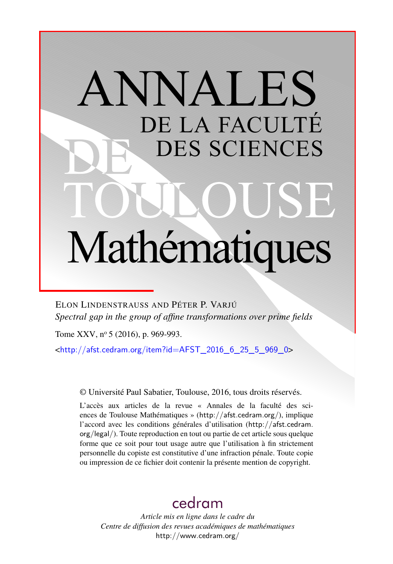# ANNALES DE LA FACULTÉ DES SCIENCES Mathématiques

ELON LINDENSTRAUSS AND PÉTER P. VARJÚ *Spectral gap in the group of affine transformations over prime fields*

Tome XXV, nº 5 (2016), p. 969-993.

 $\frac{\text{th}}{\text{t}}/$ /afst.cedram.org/item?id=AFST\_2016\_6\_25\_5\_969\_0>

© Université Paul Sabatier, Toulouse, 2016, tous droits réservés.

L'accès aux articles de la revue « Annales de la faculté des sciences de Toulouse Mathématiques » (<http://afst.cedram.org/>), implique l'accord avec les conditions générales d'utilisation ([http://afst.cedram.](http://afst.cedram.org/legal/) [org/legal/](http://afst.cedram.org/legal/)). Toute reproduction en tout ou partie de cet article sous quelque forme que ce soit pour tout usage autre que l'utilisation à fin strictement personnelle du copiste est constitutive d'une infraction pénale. Toute copie ou impression de ce fichier doit contenir la présente mention de copyright.

# [cedram](http://www.cedram.org/)

*Article mis en ligne dans le cadre du Centre de diffusion des revues académiques de mathématiques* <http://www.cedram.org/>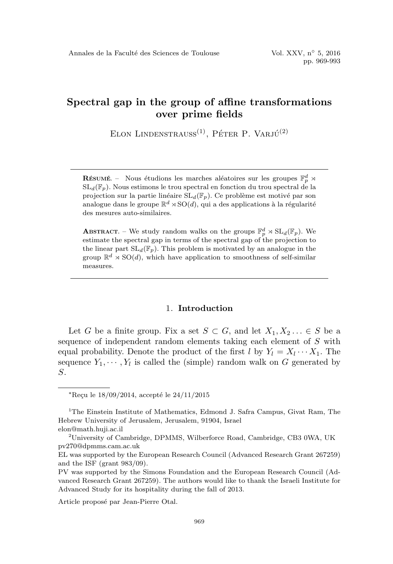ELON LINDENSTRAUSS<sup>(1)</sup>, PÉTER P. VARJÚ<sup>(2)</sup>

**RÉSUMÉ.** – Nous étudions les marches aléatoires sur les groupes  $\mathbb{F}_p^d$   $\rtimes$  $SL_d(\mathbb{F}_p)$ . Nous estimons le trou spectral en fonction du trou spectral de la projection sur la partie linéaire  $SL_d(\mathbb{F}_p)$ . Ce problème est motivé par son analogue dans le groupe  $\mathbb{R}^d \times SO(d)$ , qui a des applications à la régularité des mesures auto-similaires.

**ABSTRACT.** – We study random walks on the groups  $\mathbb{F}_p^d \rtimes SL_d(\mathbb{F}_p)$ . We estimate the spectral gap in terms of the spectral gap of the projection to the linear part  $SL_d(\mathbb{F}_p)$ . This problem is motivated by an analogue in the group  $\mathbb{R}^d \times SO(d)$ , which have application to smoothness of self-similar measures.

#### 1. Introduction

Let G be a finite group. Fix a set  $S \subset G$ , and let  $X_1, X_2, \ldots \in S$  be a sequence of independent random elements taking each element of S with equal probability. Denote the product of the first  $l$  by  $Y_l = X_l \cdots X_1$ . The sequence  $Y_1, \dots, Y_l$  is called the (simple) random walk on G generated by S.

Article proposé par Jean-Pierre Otal.

 $*$ Reçu le  $18/09/2014$ , accepté le  $24/11/2015$ 

<sup>&</sup>lt;sup>1</sup>The Einstein Institute of Mathematics, Edmond J. Safra Campus, Givat Ram, The Hebrew University of Jerusalem, Jerusalem, 91904, Israel elon@math.huji.ac.il

<sup>2</sup>University of Cambridge, DPMMS, Wilberforce Road, Cambridge, CB3 0WA, UK pv270@dpmms.cam.ac.uk

EL was supported by the European Research Council (Advanced Research Grant 267259) and the ISF (grant 983/09).

PV was supported by the Simons Foundation and the European Research Council (Advanced Research Grant 267259). The authors would like to thank the Israeli Institute for Advanced Study for its hospitality during the fall of 2013.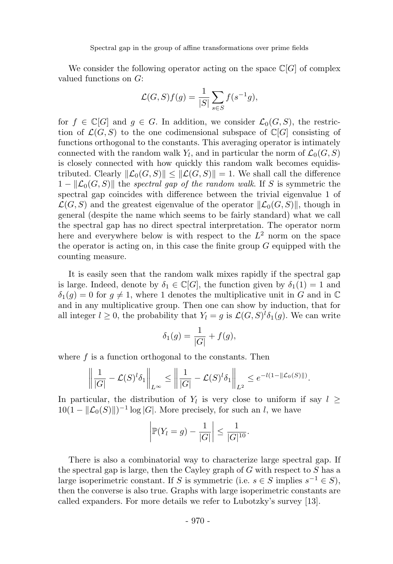We consider the following operator acting on the space  $\mathbb{C}[G]$  of complex valued functions on G:

$$
\mathcal{L}(G, S)f(g) = \frac{1}{|S|} \sum_{s \in S} f(s^{-1}g),
$$

for  $f \in \mathbb{C}[G]$  and  $g \in G$ . In addition, we consider  $\mathcal{L}_0(G, S)$ , the restriction of  $\mathcal{L}(G, S)$  to the one codimensional subspace of  $\mathbb{C}[G]$  consisting of functions orthogonal to the constants. This averaging operator is intimately connected with the random walk  $Y_l$ , and in particular the norm of  $\mathcal{L}_0(G, S)$ is closely connected with how quickly this random walk becomes equidistributed. Clearly  $\|\mathcal{L}_0(G, S)\| \leq \|\mathcal{L}(G, S)\| = 1$ . We shall call the difference  $1 - \| \mathcal{L}_0(G, S) \|$  the spectral gap of the random walk. If S is symmetric the spectral gap coincides with difference between the trivial eigenvalue 1 of  $\mathcal{L}(G, S)$  and the greatest eigenvalue of the operator  $\|\mathcal{L}_0(G, S)\|$ , though in general (despite the name which seems to be fairly standard) what we call the spectral gap has no direct spectral interpretation. The operator norm here and everywhere below is with respect to the  $L^2$  norm on the space the operator is acting on, in this case the finite group  $G$  equipped with the counting measure.

It is easily seen that the random walk mixes rapidly if the spectral gap is large. Indeed, denote by  $\delta_1 \in \mathbb{C}[G]$ , the function given by  $\delta_1(1) = 1$  and  $\delta_1(q) = 0$  for  $q \neq 1$ , where 1 denotes the multiplicative unit in G and in C and in any multiplicative group. Then one can show by induction, that for all integer  $l \geq 0$ , the probability that  $Y_l = g$  is  $\mathcal{L}(G, S)^l \delta_1(g)$ . We can write

$$
\delta_1(g) = \frac{1}{|G|} + f(g),
$$

where  $f$  is a function orthogonal to the constants. Then

$$
\left\|\frac{1}{|G|}-\mathcal{L}(S)^l\delta_1\right\|_{L^\infty}\leq \left\|\frac{1}{|G|}-\mathcal{L}(S)^l\delta_1\right\|_{L^2}\leq e^{-l(1-\|\mathcal{L}_0(S)\|)}.
$$

In particular, the distribution of  $Y_l$  is very close to uniform if say  $l \geq$  $10(1 - ||\mathcal{L}_0(S)||)^{-1} \log |G|$ . More precisely, for such an l, we have

$$
\left| \mathbb{P}(Y_l = g) - \frac{1}{|G|} \right| \le \frac{1}{|G|^{10}}.
$$

There is also a combinatorial way to characterize large spectral gap. If the spectral gap is large, then the Cayley graph of  $G$  with respect to  $S$  has a large isoperimetric constant. If S is symmetric (i.e.  $s \in S$  implies  $s^{-1} \in S$ ), then the converse is also true. Graphs with large isoperimetric constants are called expanders. For more details we refer to Lubotzky's survey [13].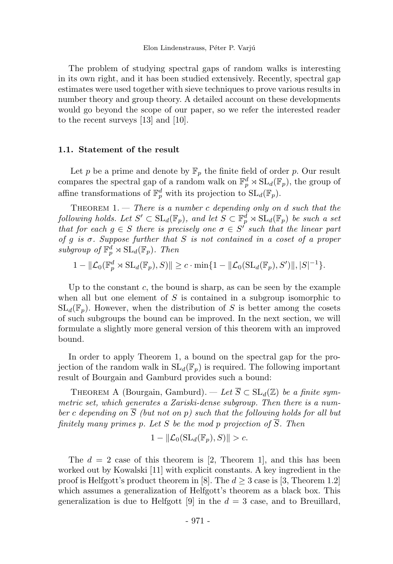The problem of studying spectral gaps of random walks is interesting in its own right, and it has been studied extensively. Recently, spectral gap estimates were used together with sieve techniques to prove various results in number theory and group theory. A detailed account on these developments would go beyond the scope of our paper, so we refer the interested reader to the recent surveys [13] and [10].

#### 1.1. Statement of the result

Let p be a prime and denote by  $\mathbb{F}_p$  the finite field of order p. Our result compares the spectral gap of a random walk on  $\mathbb{F}_p^d \rtimes SL_d(\mathbb{F}_p)$ , the group of affine transformations of  $\mathbb{F}_p^d$  with its projection to  $SL_d(\mathbb{F}_p)$ .

THEOREM  $1.$  – There is a number c depending only on d such that the following holds. Let  $S' \subset SL_d(\mathbb{F}_p)$ , and let  $S \subset \mathbb{F}_p^d \rtimes SL_d(\mathbb{F}_p)$  be such a set that for each  $g \in S$  there is precisely one  $\sigma \in S'$  such that the linear part of q is  $\sigma$ . Suppose further that S is not contained in a coset of a proper subgroup of  $\mathbb{F}_p^d \rtimes \mathrm{SL}_d(\mathbb{F}_p)$ . Then

$$
1 - \| \mathcal{L}_0(\mathbb{F}_p^d \rtimes \mathrm{SL}_d(\mathbb{F}_p), S) \| \geq c \cdot \min\{1 - \| \mathcal{L}_0(\mathrm{SL}_d(\mathbb{F}_p), S') \|, |S|^{-1}\}.
$$

Up to the constant  $c$ , the bound is sharp, as can be seen by the example when all but one element of  $S$  is contained in a subgroup isomorphic to  $SL_d(\mathbb{F}_p)$ . However, when the distribution of S is better among the cosets of such subgroups the bound can be improved. In the next section, we will formulate a slightly more general version of this theorem with an improved bound.

In order to apply Theorem 1, a bound on the spectral gap for the projection of the random walk in  $SL_d(\mathbb{F}_p)$  is required. The following important result of Bourgain and Gamburd provides such a bound:

THEOREM A (Bourgain, Gamburd). — Let  $\overline{S} \subset SL_d(\mathbb{Z})$  be a finite symmetric set, which generates a Zariski-dense subgroup. Then there is a number c depending on  $\overline{S}$  (but not on p) such that the following holds for all but finitely many primes p. Let S be the mod p projection of  $\overline{S}$ . Then

$$
1 - \| \mathcal{L}_0(\mathrm{SL}_d(\mathbb{F}_p), S) \| > c.
$$

The  $d = 2$  case of this theorem is [2, Theorem 1], and this has been worked out by Kowalski [11] with explicit constants. A key ingredient in the proof is Helfgott's product theorem in [8]. The  $d \geq 3$  case is [3, Theorem 1.2] which assumes a generalization of Helfgott's theorem as a black box. This generalization is due to Helfgott [9] in the  $d = 3$  case, and to Breuillard,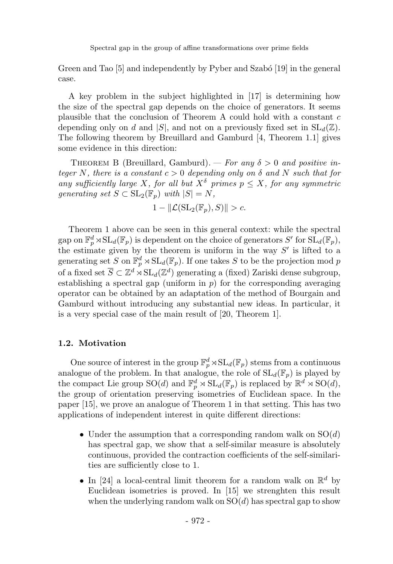Green and Tao [5] and independently by Pyber and Szabó [19] in the general case.

A key problem in the subject highlighted in [17] is determining how the size of the spectral gap depends on the choice of generators. It seems plausible that the conclusion of Theorem A could hold with a constant c depending only on d and |S|, and not on a previously fixed set in  $SL_d(\mathbb{Z})$ . The following theorem by Breuillard and Gamburd [4, Theorem 1.1] gives some evidence in this direction:

THEOREM B (Breuillard, Gamburd). — For any  $\delta > 0$  and positive integer N, there is a constant  $c > 0$  depending only on  $\delta$  and N such that for any sufficiently large X, for all but  $X^{\delta}$  primes  $p \leq X$ , for any symmetric generating set  $S \subset SL_2(\mathbb{F}_p)$  with  $|S| = N$ ,

$$
1 - \| \mathcal{L}(\mathrm{SL}_2(\mathbb{F}_p), S) \| > c.
$$

Theorem 1 above can be seen in this general context: while the spectral gap on  $\mathbb{F}_p^d \rtimes SL_d(\mathbb{F}_p)$  is dependent on the choice of generators S' for  $SL_d(\mathbb{F}_p)$ , the estimate given by the theorem is uniform in the way  $S'$  is lifted to a generating set S on  $\mathbb{F}_p^d \rtimes SL_d(\mathbb{F}_p)$ . If one takes S to be the projection mod p of a fixed set  $\overline{S} \subset \mathbb{Z}^d \rtimes SL_d(\mathbb{Z}^d)$  generating a (fixed) Zariski dense subgroup, establishing a spectral gap (uniform in  $p$ ) for the corresponding averaging operator can be obtained by an adaptation of the method of Bourgain and Gamburd without introducing any substantial new ideas. In particular, it is a very special case of the main result of [20, Theorem 1].

#### 1.2. Motivation

One source of interest in the group  $\mathbb{F}_p^d \rtimes SL_d(\mathbb{F}_p)$  stems from a continuous analogue of the problem. In that analogue, the role of  $SL_d(\mathbb{F}_p)$  is played by the compact Lie group  $\mathrm{SO}(d)$  and  $\mathbb{F}_p^d \rtimes \mathrm{SL}_d(\mathbb{F}_p)$  is replaced by  $\mathbb{R}^d \rtimes \mathrm{SO}(d)$ , the group of orientation preserving isometries of Euclidean space. In the paper [15], we prove an analogue of Theorem 1 in that setting. This has two applications of independent interest in quite different directions:

- Under the assumption that a corresponding random walk on  $SO(d)$ has spectral gap, we show that a self-similar measure is absolutely continuous, provided the contraction coefficients of the self-similarities are sufficiently close to 1.
- In [24] a local-central limit theorem for a random walk on  $\mathbb{R}^d$  by Euclidean isometries is proved. In [15] we strenghten this result when the underlying random walk on  $SO(d)$  has spectral gap to show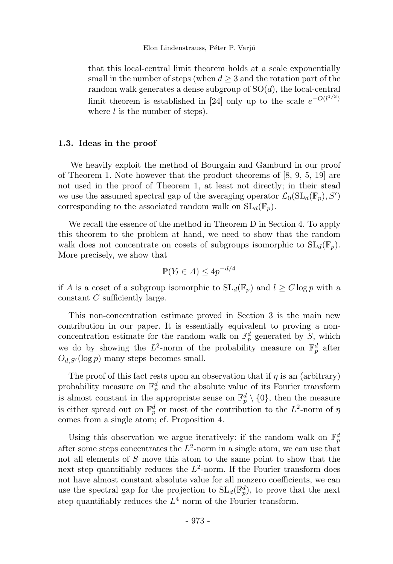that this local-central limit theorem holds at a scale exponentially small in the number of steps (when  $d \geq 3$  and the rotation part of the random walk generates a dense subgroup of  $SO(d)$ , the local-central limit theorem is established in [24] only up to the scale  $e^{-O(l^{1/3})}$ where  $l$  is the number of steps).

#### 1.3. Ideas in the proof

We heavily exploit the method of Bourgain and Gamburd in our proof of Theorem 1. Note however that the product theorems of  $[8, 9, 5, 19]$  are not used in the proof of Theorem 1, at least not directly; in their stead we use the assumed spectral gap of the averaging operator  $\mathcal{L}_0(\mathrm{SL}_d(\mathbb{F}_p), S')$ corresponding to the associated random walk on  $SL_d(\mathbb{F}_p)$ .

We recall the essence of the method in Theorem D in Section 4. To apply this theorem to the problem at hand, we need to show that the random walk does not concentrate on cosets of subgroups isomorphic to  $SL_d(\mathbb{F}_p)$ . More precisely, we show that

$$
\mathbb{P}(Y_l \in A) \le 4p^{-d/4}
$$

if A is a coset of a subgroup isomorphic to  $SL_d(\mathbb{F}_p)$  and  $l \geq C \log p$  with a constant C sufficiently large.

This non-concentration estimate proved in Section 3 is the main new contribution in our paper. It is essentially equivalent to proving a nonconcentration estimate for the random walk on  $\mathbb{F}_p^d$  generated by S, which we do by showing the  $L^2$ -norm of the probability measure on  $\mathbb{F}_p^d$  after  $O_{d,S'}(\log p)$  many steps becomes small.

The proof of this fact rests upon an observation that if  $\eta$  is an (arbitrary) probability measure on  $\mathbb{F}_p^d$  and the absolute value of its Fourier transform is almost constant in the appropriate sense on  $\mathbb{F}_p^d \setminus \{0\}$ , then the measure is either spread out on  $\mathbb{F}_p^d$  or most of the contribution to the  $L^2$ -norm of  $\eta$ comes from a single atom; cf. Proposition 4.

Using this observation we argue iteratively: if the random walk on  $\mathbb{F}_p^d$ after some steps concentrates the  $L^2$ -norm in a single atom, we can use that not all elements of S move this atom to the same point to show that the next step quantifiably reduces the  $L^2$ -norm. If the Fourier transform does not have almost constant absolute value for all nonzero coefficients, we can use the spectral gap for the projection to  $SL_d(\mathbb{F}_p^d)$ , to prove that the next step quantifiably reduces the  $L^4$  norm of the Fourier transform.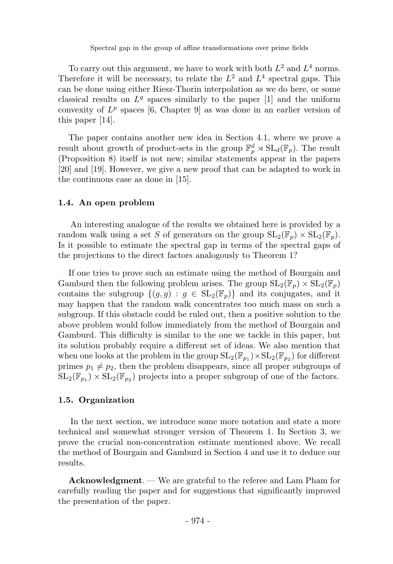To carry out this argument, we have to work with both  $L^2$  and  $L^4$  norms. Therefore it will be necessary, to relate the  $L^2$  and  $L^4$  spectral gaps. This can be done using either Riesz-Thorin interpolation as we do here, or some classical results on  $L^q$  spaces similarly to the paper [1] and the uniform convexity of  $L^p$  spaces [6, Chapter 9] as was done in an earlier version of this paper [14].

The paper contains another new idea in Section 4.1, where we prove a result about growth of product-sets in the group  $\mathbb{F}_p^d \rtimes SL_d(\mathbb{F}_p)$ . The result (Proposition 8) itself is not new; similar statements appear in the papers [20] and [19]. However, we give a new proof that can be adapted to work in the continuous case as done in [15].

#### 1.4. An open problem

An interesting analogue of the results we obtained here is provided by a random walk using a set S of generators on the group  $SL_2(\mathbb{F}_n) \times SL_2(\mathbb{F}_n)$ . Is it possible to estimate the spectral gap in terms of the spectral gaps of the projections to the direct factors analogously to Theorem 1?

If one tries to prove such an estimate using the method of Bourgain and Gamburd then the following problem arises. The group  $SL_2(\mathbb{F}_p) \times SL_2(\mathbb{F}_p)$ contains the subgroup  $\{(q, g) : g \in SL_2(\mathbb{F}_p)\}\$  and its conjugates, and it may happen that the random walk concentrates too much mass on such a subgroup. If this obstacle could be ruled out, then a positive solution to the above problem would follow immediately from the method of Bourgain and Gamburd. This difficulty is similar to the one we tackle in this paper, but its solution probably require a different set of ideas. We also mention that when one looks at the problem in the group  $SL_2(\mathbb{F}_{p_1}) \times SL_2(\mathbb{F}_{p_2})$  for different primes  $p_1 \neq p_2$ , then the problem disappears, since all proper subgroups of  $SL_2(\mathbb{F}_{p_1}) \times SL_2(\mathbb{F}_{p_2})$  projects into a proper subgroup of one of the factors.

#### 1.5. Organization

In the next section, we introduce some more notation and state a more technical and somewhat stronger version of Theorem 1. In Section 3, we prove the crucial non-concentration estimate mentioned above. We recall the method of Bourgain and Gamburd in Section 4 and use it to deduce our results.

Acknowledgment. — We are grateful to the referee and Lam Pham for carefully reading the paper and for suggestions that significantly improved the presentation of the paper.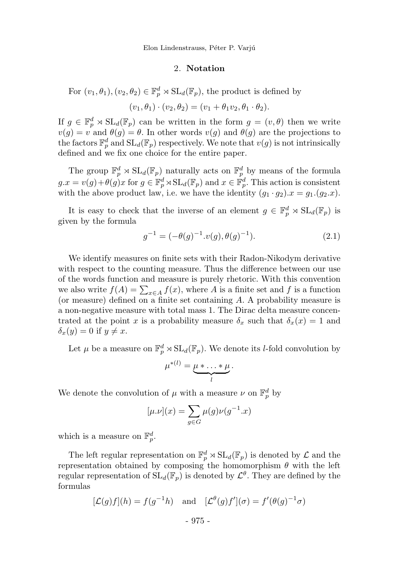Elon Lindenstrauss, Péter P. Varjú

#### 2. Notation

For  $(v_1, \theta_1), (v_2, \theta_2) \in \mathbb{F}_p^d \rtimes SL_d(\mathbb{F}_p)$ , the product is defined by  $(v_1, \theta_1) \cdot (v_2, \theta_2) = (v_1 + \theta_1 v_2, \theta_1 \cdot \theta_2).$ 

If  $g \in \mathbb{F}_p^d \rtimes SL_d(\mathbb{F}_p)$  can be written in the form  $g = (v, \theta)$  then we write  $v(g) = v$  and  $\theta(g) = \theta$ . In other words  $v(g)$  and  $\theta(g)$  are the projections to the factors  $\mathbb{F}_p^d$  and  $SL_d(\mathbb{F}_p)$  respectively. We note that  $v(g)$  is not intrinsically defined and we fix one choice for the entire paper.

The group  $\mathbb{F}_p^d \rtimes \mathrm{SL}_d(\mathbb{F}_p)$  naturally acts on  $\mathbb{F}_p^d$  by means of the formula  $g.x = v(g) + \theta(g)x$  for  $g \in \mathbb{F}_p^d \rtimes SL_d(\mathbb{F}_p)$  and  $x \in \mathbb{F}_p^d$ . This action is consistent with the above product law, i.e. we have the identity  $(g_1 \cdot g_2).x = g_1.(g_2.x).$ 

It is easy to check that the inverse of an element  $g \in \mathbb{F}_p^d \rtimes SL_d(\mathbb{F}_p)$  is given by the formula

$$
g^{-1} = (-\theta(g)^{-1} \cdot v(g), \theta(g)^{-1}). \tag{2.1}
$$

We identify measures on finite sets with their Radon-Nikodym derivative with respect to the counting measure. Thus the difference between our use of the words function and measure is purely rhetoric. With this convention we also write  $f(A) = \sum_{x \in A} f(x)$ , where A is a finite set and f is a function (or measure) defined on a finite set containing A. A probability measure is a non-negative measure with total mass 1. The Dirac delta measure concentrated at the point x is a probability measure  $\delta_x$  such that  $\delta_x(x) = 1$  and  $\delta_x(y) = 0$  if  $y \neq x$ .

Let  $\mu$  be a measure on  $\mathbb{F}_p^d \rtimes SL_d(\mathbb{F}_p)$ . We denote its *l*-fold convolution by

$$
\mu^{*(l)} = \underbrace{\mu * \ldots * \mu}_{l}.
$$

We denote the convolution of  $\mu$  with a measure  $\nu$  on  $\mathbb{F}_p^d$  by

$$
[\mu.\nu](x)=\sum_{g\in G}\mu(g)\nu(g^{-1}.x)
$$

which is a measure on  $\mathbb{F}_p^d$ .

The left regular representation on  $\mathbb{F}_p^d \rtimes SL_d(\mathbb{F}_p)$  is denoted by  $\mathcal L$  and the representation obtained by composing the homomorphism  $\theta$  with the left regular representation of  $SL_d(\mathbb{F}_p)$  is denoted by  $\mathcal{L}^{\theta}$ . They are defined by the formulas

$$
[\mathcal{L}(g)f](h) = f(g^{-1}h) \text{ and } [\mathcal{L}^{\theta}(g)f'](\sigma) = f'(\theta(g)^{-1}\sigma)
$$

$$
\sim 975.
$$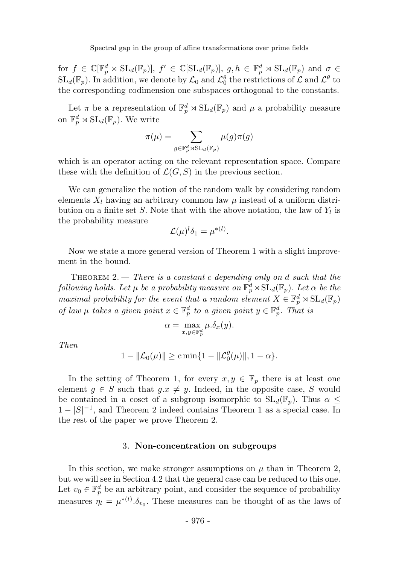for  $f \in \mathbb{C}[\mathbb{F}_p^d \rtimes \mathrm{SL}_d(\mathbb{F}_p)], f' \in \mathbb{C}[\mathrm{SL}_d(\mathbb{F}_p)], g, h \in \mathbb{F}_p^d \rtimes \mathrm{SL}_d(\mathbb{F}_p)$  and  $\sigma \in$  $SL_d(\mathbb{F}_p)$ . In addition, we denote by  $\mathcal{L}_0$  and  $\mathcal{L}_0^{\theta}$  the restrictions of  $\mathcal{L}$  and  $\mathcal{L}^{\theta}$  to the corresponding codimension one subspaces orthogonal to the constants.

Let  $\pi$  be a representation of  $\mathbb{F}_p^d \rtimes SL_d(\mathbb{F}_p)$  and  $\mu$  a probability measure on  $\mathbb{F}_p^d \rtimes \mathrm{SL}_d(\mathbb{F}_p)$ . We write

$$
\pi(\mu) = \sum_{g \in \mathbb{F}_p^d \rtimes \mathrm{SL}_d(\mathbb{F}_p)} \mu(g)\pi(g)
$$

which is an operator acting on the relevant representation space. Compare these with the definition of  $\mathcal{L}(G, S)$  in the previous section.

We can generalize the notion of the random walk by considering random elements  $X_l$  having an arbitrary common law  $\mu$  instead of a uniform distribution on a finite set  $S$ . Note that with the above notation, the law of  $Y_l$  is the probability measure

$$
\mathcal{L}(\mu)^l \delta_1 = \mu^{*(l)}.
$$

Now we state a more general version of Theorem 1 with a slight improvement in the bound.

THEOREM 2.  $-$  There is a constant c depending only on d such that the following holds. Let  $\mu$  be a probability measure on  $\mathbb{F}_p^d \rtimes \mathrm{SL}_d(\mathbb{F}_p)$ . Let  $\alpha$  be the maximal probability for the event that a random element  $X \in \mathbb{F}_p^d \rtimes SL_d(\mathbb{F}_p)$ of law  $\mu$  takes a given point  $x \in \mathbb{F}_p^d$  to a given point  $y \in \mathbb{F}_p^d$ . That is

$$
\alpha = \max_{x,y \in \mathbb{F}_p^d} \mu.\delta_x(y).
$$

Then

$$
1 - \| \mathcal{L}_0(\mu) \| \geq c \min\{ 1 - \| \mathcal{L}_0^{\theta}(\mu) \|, 1 - \alpha \}.
$$

In the setting of Theorem 1, for every  $x, y \in \mathbb{F}_p$  there is at least one element  $q \in S$  such that  $q.x \neq y$ . Indeed, in the opposite case, S would be contained in a coset of a subgroup isomorphic to  $SL_d(\mathbb{F}_p)$ . Thus  $\alpha \leq$  $1-|S|^{-1}$ , and Theorem 2 indeed contains Theorem 1 as a special case. In the rest of the paper we prove Theorem 2.

#### 3. Non-concentration on subgroups

In this section, we make stronger assumptions on  $\mu$  than in Theorem 2, but we will see in Section 4.2 that the general case can be reduced to this one. Let  $v_0 \in \mathbb{F}_p^d$  be an arbitrary point, and consider the sequence of probability measures  $\eta_l = \mu^{*(l)} \delta_{v_0}$ . These measures can be thought of as the laws of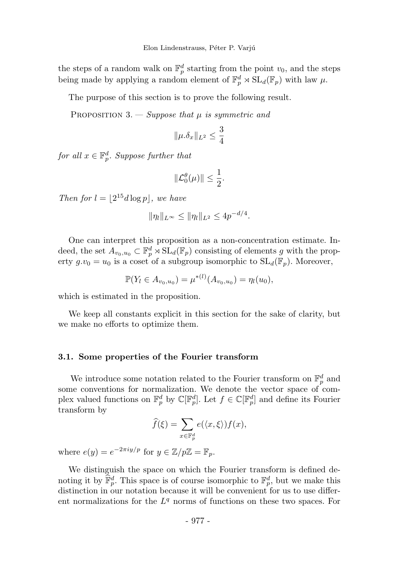the steps of a random walk on  $\mathbb{F}_p^d$  starting from the point  $v_0$ , and the steps being made by applying a random element of  $\mathbb{F}_p^d \rtimes SL_d(\mathbb{F}_p)$  with law  $\mu$ .

The purpose of this section is to prove the following result.

PROPOSITION 3. — Suppose that  $\mu$  is symmetric and

$$
\|\mu.\delta_x\|_{L^2}\leq \frac{3}{4}
$$

for all  $x \in \mathbb{F}_p^d$ . Suppose further that

$$
\|\mathcal{L}_0^{\theta}(\mu)\| \le \frac{1}{2}.
$$

Then for  $l = \lfloor 2^{15}d \log p \rfloor$ , we have

$$
\|\eta_l\|_{L^{\infty}} \le \|\eta_l\|_{L^2} \le 4p^{-d/4}.
$$

One can interpret this proposition as a non-concentration estimate. Indeed, the set  $A_{v_0,u_0} \subset \mathbb{F}_p^d \rtimes SL_d(\mathbb{F}_p)$  consisting of elements g with the property  $g.v_0 = u_0$  is a coset of a subgroup isomorphic to  $SL_d(\mathbb{F}_p)$ . Moreover,

$$
\mathbb{P}(Y_l \in A_{v_0, u_0}) = \mu^{*(l)}(A_{v_0, u_0}) = \eta_l(u_0),
$$

which is estimated in the proposition.

We keep all constants explicit in this section for the sake of clarity, but we make no efforts to optimize them.

#### 3.1. Some properties of the Fourier transform

We introduce some notation related to the Fourier transform on  $\mathbb{F}_p^d$  and some conventions for normalization. We denote the vector space of complex valued functions on  $\mathbb{F}_p^d$  by  $\mathbb{C}[\mathbb{F}_p^d]$ . Let  $f \in \mathbb{C}[\mathbb{F}_p^d]$  and define its Fourier transform by

$$
\widehat{f}(\xi) = \sum_{x \in \mathbb{F}_p^d} e(\langle x, \xi \rangle) f(x),
$$

where  $e(y) = e^{-2\pi i y/p}$  for  $y \in \mathbb{Z}/p\mathbb{Z} = \mathbb{F}_p$ .

We distinguish the space on which the Fourier transform is defined denoting it by  $\mathbb{F}_p^d$ . This space is of course isomorphic to  $\mathbb{F}_p^d$ , but we make this distinction in our notation because it will be convenient for us to use different normalizations for the  $L<sup>q</sup>$  norms of functions on these two spaces. For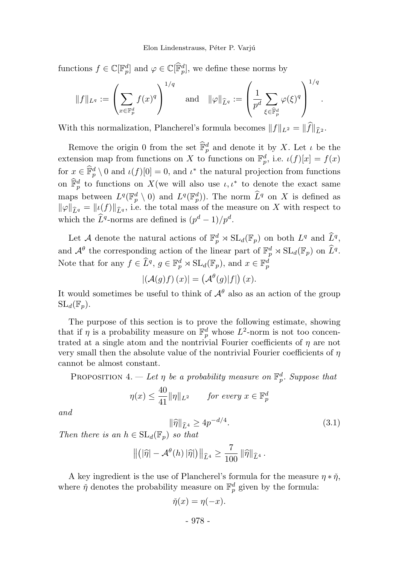functions  $f \in \mathbb{C}[\mathbb{F}_p^d]$  and  $\varphi \in \mathbb{C}[\mathbb{F}_p^d]$ , we define these norms by

$$
\|f\|_{L^q} := \left(\sum_{x \in \mathbb{F}_p^d} f(x)^q\right)^{1/q} \quad \text{and} \quad \|\varphi\|_{\widehat{L}^q} := \left(\frac{1}{p^d} \sum_{\xi \in \widehat{\mathbb{F}}_p^d} \varphi(\xi)^q\right)^{1/q}.
$$

With this normalization, Plancherel's formula becomes  $||f||_{L^2} = ||\widehat{f}||_{\widehat{r}_2}$ .

Remove the origin 0 from the set  $\mathbb{F}_p^d$  and denote it by X. Let  $\iota$  be the extension map from functions on X to functions on  $\mathbb{F}_p^d$ , i.e.  $\iota(f)[x] = f(x)$ for  $x \in \mathbb{F}_p^d \setminus \{0\}$  and  $\iota(f)[0] = 0$ , and  $\iota^*$  the natural projection from functions on  $\mathbb{F}_p^d$  to functions on X(we will also use  $\iota, \iota^*$  to denote the exact same maps between  $L^q(\mathbb{F}_p^d \setminus 0)$  and  $L^q(\mathbb{F}_p^d)$ . The norm  $\widehat{L}^q$  on X is defined as  $\|\varphi\|_{\widehat{L}q} = \|\iota(f)\|_{\widehat{L}q}$ , i.e. the total mass of the measure on X with respect to which the  $\hat{L}^q$ -norms are defined is  $(p^d - 1)/p^d$ .

Let A denote the natural actions of  $\mathbb{F}_p^d \rtimes SL_d(\mathbb{F}_p)$  on both  $L^q$  and  $\widehat{L}^q$ , and  $\mathcal{A}^{\theta}$  the corresponding action of the linear part of  $\mathbb{F}_p^d \rtimes SL_d(\mathbb{F}_p)$  on  $\tilde{L}^q$ . Note that for any  $f \in \tilde{L}^q$ ,  $g \in \mathbb{F}_p^d \rtimes \mathrm{SL}_d(\mathbb{F}_p)$ , and  $x \in \mathbb{F}_p^d$ 

$$
|(\mathcal{A}(g)f)(x)| = (\mathcal{A}^{\theta}(g)|f|)(x).
$$

It would sometimes be useful to think of  $\mathcal{A}^{\theta}$  also as an action of the group  $SL_d(\mathbb{F}_n)$ .

The purpose of this section is to prove the following estimate, showing that if  $\eta$  is a probability measure on  $\mathbb{F}_p^d$  whose  $L^2$ -norm is not too concentrated at a single atom and the nontrivial Fourier coefficients of  $\eta$  are not very small then the absolute value of the nontrivial Fourier coefficients of  $\eta$ cannot be almost constant.

PROPOSITION 4. — Let  $\eta$  be a probability measure on  $\mathbb{F}_p^d$ . Suppose that

$$
\eta(x) \le \frac{40}{41} \|\eta\|_{L^2} \qquad \text{for every } x \in \mathbb{F}_p^d
$$

and

$$
\|\hat{\eta}\|_{\hat{L}^4} \ge 4p^{-d/4}.\tag{3.1}
$$

Then there is an  $h \in SL_d(\mathbb{F}_p)$  so that

$$
\left\| \left( \left| \widehat{\eta} \right| - \mathcal{A}^{\theta}(h) \left| \widehat{\eta} \right| \right) \right\|_{\widehat{L}^4} \geq \frac{7}{100} \left\| \widehat{\eta} \right\|_{\widehat{L}^4}.
$$

A key ingredient is the use of Plancherel's formula for the measure  $\eta * \check{\eta}$ , where  $\check{\eta}$  denotes the probability measure on  $\mathbb{F}_p^d$  given by the formula:

$$
\check{\eta}(x) = \eta(-x).
$$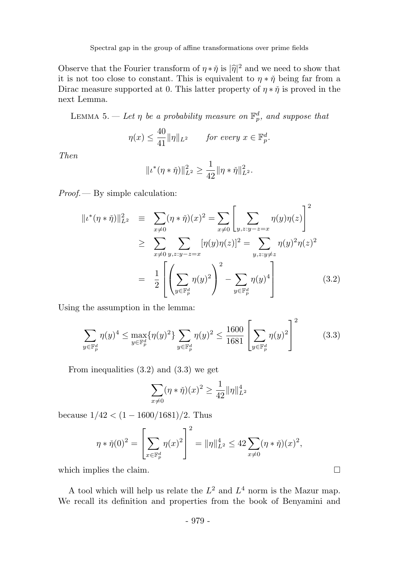Observe that the Fourier transform of  $\eta * \tilde{\eta}$  is  $|\tilde{\eta}|^2$  and we need to show that it is not too close to constant. This is equivalent to  $\eta * \eta'$  being far from a Dirac measure supported at 0. This latter property of  $\eta * \tilde{\eta}$  is proved in the next Lemma.

LEMMA 5.  $-$  Let  $\eta$  be a probability measure on  $\mathbb{F}_p^d$ , and suppose that

$$
\eta(x) \le \frac{40}{41} \|\eta\|_{L^2} \qquad \text{for every } x \in \mathbb{F}_p^d.
$$

Then

$$
||\iota^*(\eta * \check{\eta})||_{L^2}^2 \ge \frac{1}{42} ||\eta * \check{\eta}||_{L^2}^2.
$$

Proof.— By simple calculation:

$$
||\iota^*(\eta * \check{\eta})||_{L^2}^2 \equiv \sum_{x \neq 0} (\eta * \check{\eta})(x)^2 = \sum_{x \neq 0} \left[ \sum_{y, z: y - z = x} \eta(y)\eta(z) \right]^2
$$
  
\n
$$
\geq \sum_{x \neq 0} \sum_{y, z: y - z = x} [\eta(y)\eta(z)]^2 = \sum_{y, z: y \neq z} \eta(y)^2 \eta(z)^2
$$
  
\n
$$
= \frac{1}{2} \left[ \left( \sum_{y \in \mathbb{F}_p^d} \eta(y)^2 \right)^2 - \sum_{y \in \mathbb{F}_p^d} \eta(y)^4 \right]
$$
(3.2)

Using the assumption in the lemma:

$$
\sum_{y \in \mathbb{F}_p^d} \eta(y)^4 \le \max_{y \in \mathbb{F}_p^d} {\{\eta(y)^2\}} \sum_{y \in \mathbb{F}_p^d} \eta(y)^2 \le \frac{1600}{1681} \left[ \sum_{y \in \mathbb{F}_p^d} \eta(y)^2 \right]^2 \tag{3.3}
$$

 $\sim$ 

From inequalities (3.2) and (3.3) we get

$$
\sum_{x\neq 0} (\eta * \check{\eta})(x)^2 \ge \frac{1}{42} ||\eta||_{L^2}^4
$$

because  $1/42 < (1 - 1600/1681)/2$ . Thus

$$
\eta * \check{\eta}(0)^2 = \left[\sum_{x \in \mathbb{F}_p^d} \eta(x)^2\right]^2 = \|\eta\|_{L^2}^4 \le 42 \sum_{x \ne 0} (\eta * \check{\eta})(x)^2,
$$

which implies the claim.  $\Box$ 

A tool which will help us relate the  $L^2$  and  $L^4$  norm is the Mazur map. We recall its definition and properties from the book of Benyamini and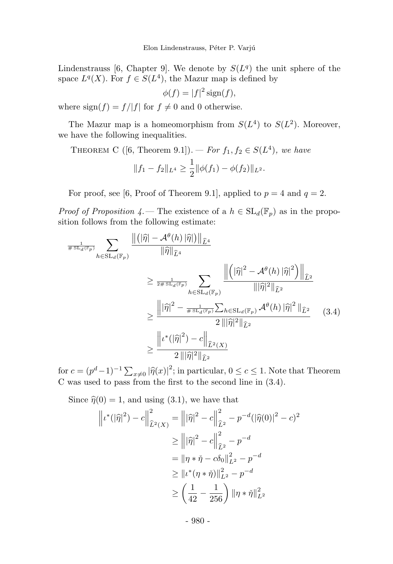Lindenstrauss [6, Chapter 9]. We denote by  $S(L<sup>q</sup>)$  the unit sphere of the space  $L^q(X)$ . For  $f \in S(L^4)$ , the Mazur map is defined by

$$
\phi(f) = |f|^2 \operatorname{sign}(f),
$$

where  $sign(f) = f/|f|$  for  $f \neq 0$  and 0 otherwise.

The Mazur map is a homeomorphism from  $S(L<sup>4</sup>)$  to  $S(L<sup>2</sup>)$ . Moreover, we have the following inequalities.

THEOREM C ([6, Theorem 9.1]). *For* 
$$
f_1, f_2 \in S(L^4)
$$
, we have  

$$
||f_1 - f_2||_{L^4} \ge \frac{1}{2} ||\phi(f_1) - \phi(f_2)||_{L^2}.
$$

For proof, see [6, Proof of Theorem 9.1], applied to  $p = 4$  and  $q = 2$ .

*Proof of Proposition 4.*— The existence of a  $h \in SL_d(\mathbb{F}_p)$  as in the proposition follows from the following estimate:

$$
\frac{1}{\# \operatorname{SL}_{d}(\mathbb{F}_{p})} \sum_{h \in \operatorname{SL}_{d}(\mathbb{F}_{p})} \frac{\left\| \left( |\widehat{\eta}| - \mathcal{A}^{\theta}(h) \, |\widehat{\eta}| \right) \right\|_{\widehat{L}^{4}}}{\left\| \widehat{\eta} \right\|_{\widehat{L}^{4}}}
$$
\n
$$
\geq \frac{1}{2 \# \operatorname{SL}_{d}(\mathbb{F}_{p})} \sum_{h \in \operatorname{SL}_{d}(\mathbb{F}_{p})} \frac{\left\| \left( |\widehat{\eta}|^{2} - \mathcal{A}^{\theta}(h) \, |\widehat{\eta}|^{2} \right) \right\|_{\widehat{L}^{2}}}{\left\| |\widehat{\eta}|^{2} \right\|_{\widehat{L}^{2}}}
$$
\n
$$
\geq \frac{\left\| |\widehat{\eta}|^{2} - \frac{1}{\# \operatorname{SL}_{d}(\mathbb{F}_{p})} \sum_{h \in \operatorname{SL}_{d}(\mathbb{F}_{p})} \mathcal{A}^{\theta}(h) \, |\widehat{\eta}|^{2} \, \left\|_{\widehat{L}^{2}} \right\|}{2 \, \left\| |\widehat{\eta}|^{2} \right\|_{\widehat{L}^{2}}} \tag{3.4}
$$
\n
$$
\geq \frac{\left\| \iota^{*} (|\widehat{\eta}|^{2}) - c \right\|_{\widehat{L}^{2}(X)}}{2 \, \left\| |\widehat{\eta}|^{2} \right\|_{\widehat{L}^{2}}}
$$

for  $c = (p^d - 1)^{-1} \sum_{x \neq 0} |\hat{\eta}(x)|^2$ ; in particular,  $0 \leq c \leq 1$ . Note that Theorem C was used to pass from the first to the second line in (3.4).

Since  $\hat{\eta}(0) = 1$ , and using (3.1), we have that

$$
\left\| \iota^*(\left| \widehat{\eta} \right|^2) - c \right\|_{\widehat{L}^2(X)}^2 = \left\| \left| \widehat{\eta} \right|^2 - c \right\|_{\widehat{L}^2}^2 - p^{-d} (\left| \widehat{\eta}(0) \right|^2 - c)^2
$$
  
\n
$$
\geq \left\| \left| \widehat{\eta} \right|^2 - c \right\|_{\widehat{L}^2}^2 - p^{-d}
$$
  
\n
$$
= \left\| \eta * \widehat{\eta} - c \delta_0 \right\|_{L^2}^2 - p^{-d}
$$
  
\n
$$
\geq \left\| \iota^*(\eta * \widehat{\eta}) \right\|_{L^2}^2 - p^{-d}
$$
  
\n
$$
\geq \left( \frac{1}{42} - \frac{1}{256} \right) \left\| \eta * \widehat{\eta} \right\|_{L^2}^2
$$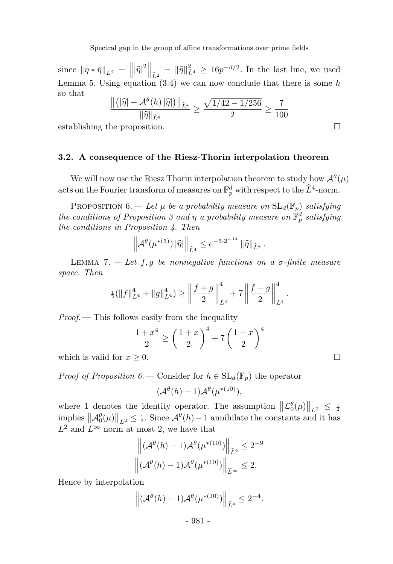since  $\|\eta * \check{\eta}\|_{L^2} = \left\|\widehat{\eta}\right\|_{\widehat{L}^2}^2 = \|\widehat{\eta}\|_{\widehat{L}^4}^2 \ge 16p^{-d/2}$ . In the last line, we used Lemma 5. Using equation  $(3.4)$  we can now conclude that there is some h so that

$$
\frac{\left\|\left(|\widehat{\eta}| - \mathcal{A}^{\theta}(h) \, |\widehat{\eta}|\right)\right\|_{\widehat{L}^4}}{\|\widehat{\eta}\|_{\widehat{L}^4}} \ge \frac{\sqrt{1/42 - 1/256}}{2} \ge \frac{7}{100}
$$

establishing the proposition.

#### 3.2. A consequence of the Riesz-Thorin interpolation theorem

We will now use the Riesz Thorin interpolation theorem to study how  $\mathcal{A}^{\theta}(\mu)$ acts on the Fourier transform of measures on  $\mathbb{F}_p^d$  with respect to the  $\widehat{L}^4$ -norm.

PROPOSITION 6. — Let  $\mu$  be a probability measure on  $SL_d(\mathbb{F}_p)$  satisfying the conditions of Proposition 3 and  $\eta$  a probability measure on  $\mathbb{F}_p^d$  satisfying the conditions in Proposition 4. Then

$$
\left\|{\mathcal A}^\theta(\mu^{*(5)})\,|\widehat{\eta}|\right\|_{\widehat{{L}}^4}\le e^{-5\cdot 2^{-14}}\,\|\widehat{\eta}\|_{\widehat{{L}}^4}\,.
$$

LEMMA 7.  $\ell$  Let f, g be nonnegative functions on a  $\sigma$ -finite measure space. Then

$$
\frac{1}{2}(\|f\|_{L^4}^4 + \|g\|_{L^4}^4) \ge \left\|\frac{f+g}{2}\right\|_{L^4}^4 + 7\left\|\frac{f-g}{2}\right\|_{L^4}^4.
$$

Proof.— This follows easily from the inequality

$$
\frac{1+x^4}{2} \ge \left(\frac{1+x}{2}\right)^4 + 7\left(\frac{1-x}{2}\right)^4
$$

which is valid for  $x \geq 0$ .

*Proof of Proposition 6.*— Consider for  $h \in SL_d(\mathbb{F}_p)$  the operator

$$
(\mathcal{A}^{\theta}(h)-1)\mathcal{A}^{\theta}(\mu^{*(10)}),
$$

where 1 denotes the identity operator. The assumption  $\|\mathcal{L}_0^{\theta}(\mu)\|_{L^2} \leq \frac{1}{2}$ implies  $\|\mathcal{A}_{0}^{\theta}(\mu)\|_{L^{2}} \leq \frac{1}{2}$ . Since  $\mathcal{A}^{\theta}(h) - 1$  annihilate the constants and it has  $L^2$  and  $L^{\infty}$  norm at most 2, we have that

$$
\left\| (\mathcal{A}^{\theta}(h) - 1) \mathcal{A}^{\theta}(\mu^{*(10)}) \right\|_{\widehat{L}^2} \leq 2^{-9}
$$
  

$$
\left\| (\mathcal{A}^{\theta}(h) - 1) \mathcal{A}^{\theta}(\mu^{*(10)}) \right\|_{\widehat{L}^{\infty}} \leq 2.
$$

Hence by interpolation

$$
\left\|(\mathcal{A}^{\theta}(h)-1)\mathcal{A}^{\theta}(\mu^{*(10)})\right\|_{\widehat{L}^4}\leq 2^{-4}.
$$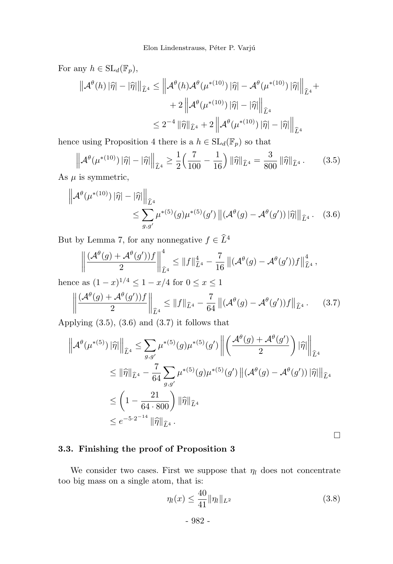For any  $h \in SL_d(\mathbb{F}_p)$ ,

$$
\begin{aligned}\n\left\|\mathcal{A}^{\theta}(h) \left| \widehat{\eta} \right| - \left| \widehat{\eta} \right| \right\|_{\widehat{L}^{4}} &\leq \left\|\mathcal{A}^{\theta}(h) \mathcal{A}^{\theta}(\mu^{*(10)}) \left| \widehat{\eta} \right| - \mathcal{A}^{\theta}(\mu^{*(10)}) \left| \widehat{\eta} \right| \right\|_{\widehat{L}^{4}} + \\
&\quad + 2 \left\|\mathcal{A}^{\theta}(\mu^{*(10)}) \left| \widehat{\eta} \right| - \left| \widehat{\eta} \right| \right\|_{\widehat{L}^{4}} \\
&\leq 2^{-4} \left\|\widehat{\eta} \right\|_{\widehat{L}^{4}} + 2 \left\|\mathcal{A}^{\theta}(\mu^{*(10)}) \left| \widehat{\eta} \right| - \left| \widehat{\eta} \right| \right\|_{\widehat{L}^{4}}\n\end{aligned}
$$

hence using Proposition 4 there is a  $h \in SL_d(\mathbb{F}_p)$  so that

$$
\left\| \mathcal{A}^{\theta}(\mu^{*(10)}) \left| \widehat{\eta} \right| - \left| \widehat{\eta} \right| \right\|_{\widehat{L}^4} \ge \frac{1}{2} \left( \frac{7}{100} - \frac{1}{16} \right) \left\| \widehat{\eta} \right\|_{\widehat{L}^4} = \frac{3}{800} \left\| \widehat{\eta} \right\|_{\widehat{L}^4}.
$$
 (3.5)

As  $\mu$  is symmetric,

$$
\left\| \mathcal{A}^{\theta}(\mu^{*(10)}) \left| \widehat{\eta} \right| - \left| \widehat{\eta} \right| \right\|_{\widehat{L}^{4}} \leq \sum_{g,g'} \mu^{*(5)}(g) \mu^{*(5)}(g') \left\| (\mathcal{A}^{\theta}(g) - \mathcal{A}^{\theta}(g')) \left| \widehat{\eta} \right| \right\|_{\widehat{L}^{4}}.
$$
 (3.6)

But by Lemma 7, for any nonnegative  $f \in \widehat{L}^4$ 

$$
\left\| \frac{(\mathcal{A}^{\theta}(g) + \mathcal{A}^{\theta}(g'))f}{2} \right\|_{\widehat{L}^{4}}^{4} \leq \|f\|_{\widehat{L}^{4}}^{4} - \frac{7}{16} \left\| (\mathcal{A}^{\theta}(g) - \mathcal{A}^{\theta}(g'))f \right\|_{\widehat{L}^{4}}^{4},
$$

hence as  $(1-x)^{1/4} \le 1 - x/4$  for  $0 \le x \le 1$ 

$$
\left\| \frac{(\mathcal{A}^{\theta}(g) + \mathcal{A}^{\theta}(g'))f}{2} \right\|_{\widehat{L}^4} \le \|f\|_{\widehat{L}^4} - \frac{7}{64} \left\| (\mathcal{A}^{\theta}(g) - \mathcal{A}^{\theta}(g'))f \right\|_{\widehat{L}^4}.
$$
 (3.7)

Applying  $(3.5)$ ,  $(3.6)$  and  $(3.7)$  it follows that

$$
\left\| \mathcal{A}^{\theta}(\mu^{*(5)}) \left| \widehat{\eta} \right| \right\|_{\widehat{L}^{4}} \leq \sum_{g,g'} \mu^{*(5)}(g) \mu^{*(5)}(g') \left\| \left( \frac{\mathcal{A}^{\theta}(g) + \mathcal{A}^{\theta}(g')}{2} \right) \left| \widehat{\eta} \right| \right\|_{\widehat{L}^{4}}
$$
  
\n
$$
\leq \left\| \widehat{\eta} \right\|_{\widehat{L}^{4}} - \frac{7}{64} \sum_{g,g'} \mu^{*(5)}(g) \mu^{*(5)}(g') \left\| (\mathcal{A}^{\theta}(g) - \mathcal{A}^{\theta}(g')) \left| \widehat{\eta} \right| \right\|_{\widehat{L}^{4}}
$$
  
\n
$$
\leq \left( 1 - \frac{21}{64 \cdot 800} \right) \left\| \widehat{\eta} \right\|_{\widehat{L}^{4}}
$$
  
\n
$$
\leq e^{-5 \cdot 2^{-14}} \left\| \widehat{\eta} \right\|_{\widehat{L}^{4}}.
$$

 $\Box$ 

### 3.3. Finishing the proof of Proposition 3

We consider two cases. First we suppose that  $\eta_l$  does not concentrate too big mass on a single atom, that is:

$$
\eta_l(x) \le \frac{40}{41} \|\eta_l\|_{L^2} \tag{3.8}
$$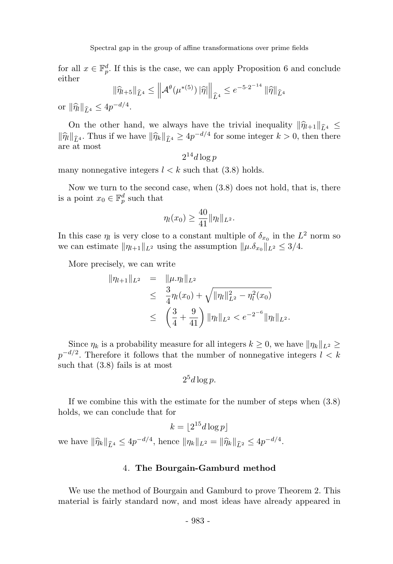for all  $x \in \mathbb{F}_p^d$ . If this is the case, we can apply Proposition 6 and conclude either

$$
\|\widehat{\eta}_{l+5}\|_{\widehat{L}^4} \le \left\| \mathcal{A}^{\theta}(\mu^{*(5)}) \, |\widehat{\eta}| \right\|_{\widehat{L}^4} \le e^{-5 \cdot 2^{-14}} \, \|\widehat{\eta}\|_{\widehat{L}^4}
$$

or  $\|\hat{\eta}_{l}\|_{\hat{L}^4} \le 4p^{-d/4}.$ 

On the other hand, we always have the trivial inequality  $\|\hat{\eta}_{l+1}\|_{\hat{L}^4} \leq$  $\|\widehat{\eta}_k\|_{\widehat{L}^4}$ . Thus if we have  $\|\widehat{\eta}_k\|_{\widehat{L}^4} \ge 4p^{-d/4}$  for some integer  $k > 0$ , then there are at most

$$
2^{14}d\log p
$$

many nonnegative integers  $l < k$  such that (3.8) holds.

Now we turn to the second case, when (3.8) does not hold, that is, there is a point  $x_0 \in \mathbb{F}_p^d$  such that

$$
\eta_l(x_0) \ge \frac{40}{41} \|\eta_l\|_{L^2}.
$$

In this case  $\eta_l$  is very close to a constant multiple of  $\delta_{x_0}$  in the  $L^2$  norm so we can estimate  $\|\eta_{l+1}\|_{L^2}$  using the assumption  $\|\mu.\delta_{x_0}\|_{L^2} \leq 3/4$ .

More precisely, we can write

$$
\|\eta_{l+1}\|_{L^2} = \|\mu \cdot \eta_l\|_{L^2}
$$
  
\n
$$
\leq \frac{3}{4} \eta_l(x_0) + \sqrt{\|\eta_l\|_{L^2}^2 - \eta_l^2(x_0)}
$$
  
\n
$$
\leq \left(\frac{3}{4} + \frac{9}{41}\right) \|\eta_l\|_{L^2} < e^{-2^{-6}} \|\eta_l\|_{L^2}.
$$

Since  $\eta_k$  is a probability measure for all integers  $k \geq 0$ , we have  $\|\eta_k\|_{L^2} \geq$  $p^{-d/2}$ . Therefore it follows that the number of nonnegative integers  $l < k$ such that (3.8) fails is at most

$$
2^5d\log p.
$$

If we combine this with the estimate for the number of steps when (3.8) holds, we can conclude that for

$$
k = \lfloor 2^{15} d \log p \rfloor
$$

we have  $\|\widehat{\eta}_k\|_{\widehat{L}^4} \le 4p^{-d/4}$ , hence  $\|\eta_k\|_{L^2} = \|\widehat{\eta}_k\|_{\widehat{L}^2} \le 4p^{-d/4}$ .

#### 4. The Bourgain-Gamburd method

We use the method of Bourgain and Gamburd to prove Theorem 2. This material is fairly standard now, and most ideas have already appeared in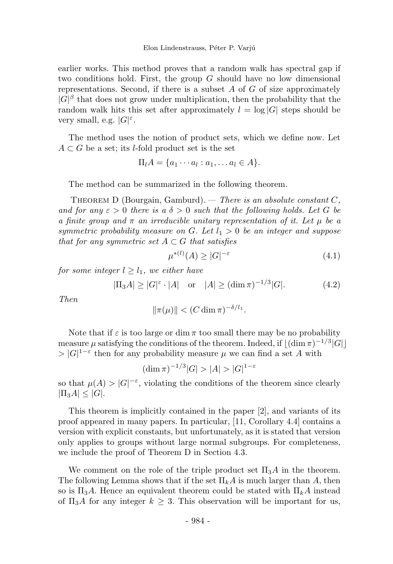earlier works. This method proves that a random walk has spectral gap if two conditions hold. First, the group  $G$  should have no low dimensional representations. Second, if there is a subset  $A$  of  $G$  of size approximately  $|G|^\beta$  that does not grow under multiplication, then the probability that the random walk hits this set after approximately  $l = \log |G|$  steps should be very small, e.g.  $|G|^\varepsilon$ .

The method uses the notion of product sets, which we define now. Let  $A \subset G$  be a set; its *l*-fold product set is the set

$$
\Pi_l A = \{a_1 \cdots a_l : a_1, \ldots a_l \in A\}.
$$

The method can be summarized in the following theorem.

THEOREM D (Bourgain, Gamburd). — There is an absolute constant  $C$ , and for any  $\varepsilon > 0$  there is a  $\delta > 0$  such that the following holds. Let G be a finite group and  $\pi$  an irreducible unitary representation of it. Let  $\mu$  be a symmetric probability measure on G. Let  $l_1 > 0$  be an integer and suppose that for any symmetric set  $A \subset G$  that satisfies

$$
\mu^{*(l)}(A) \ge |G|^{-\varepsilon} \tag{4.1}
$$

for some integer  $l \geq l_1$ , we either have

$$
|\Pi_3 A| \ge |G|^{\varepsilon} \cdot |A|
$$
 or  $|A| \ge (\dim \pi)^{-1/3} |G|.$  (4.2)

Then

$$
\|\pi(\mu)\| < (C\dim \pi)^{-\delta/l_1}.
$$

Note that if  $\varepsilon$  is too large or dim  $\pi$  too small there may be no probability measure  $\mu$  satisfying the conditions of the theorem. Indeed, if  $\lfloor (\dim \pi)^{-1/3} |G| \rfloor$  $> |G|^{1-\varepsilon}$  then for any probability measure  $\mu$  we can find a set A with

$$
(\dim \pi)^{-1/3}|G| > |A| > |G|^{1-\varepsilon}
$$

so that  $\mu(A) > |G|^{-\varepsilon}$ , violating the conditions of the theorem since clearly  $|\Pi_3A| \leq |G|$ .

This theorem is implicitly contained in the paper [2], and variants of its proof appeared in many papers. In particular, [11, Corollary 4.4] contains a version with explicit constants, but unfortunately, as it is stated that version only applies to groups without large normal subgroups. For completeness, we include the proof of Theorem D in Section 4.3.

We comment on the role of the triple product set  $\Pi_3A$  in the theorem. The following Lemma shows that if the set  $\Pi_k A$  is much larger than A, then so is  $\Pi_3A$ . Hence an equivalent theorem could be stated with  $\Pi_kA$  instead of  $\Pi_3A$  for any integer  $k \geq 3$ . This observation will be important for us,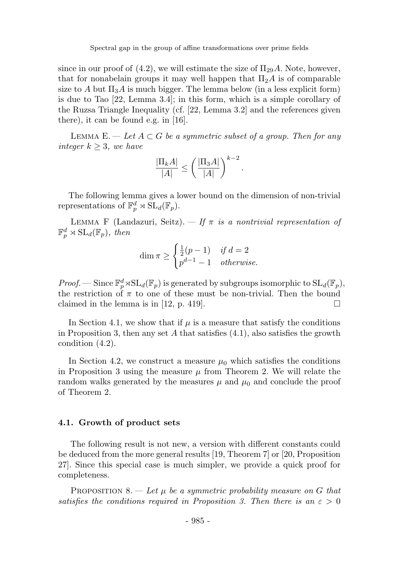since in our proof of  $(4.2)$ , we will estimate the size of  $\Pi_{29}A$ . Note, however, that for nonabelain groups it may well happen that  $\Pi_2A$  is of comparable size to A but  $\Pi_3A$  is much bigger. The lemma below (in a less explicit form) is due to Tao [22, Lemma 3.4]; in this form, which is a simple corollary of the Ruzsa Triangle Inequality (cf. [22, Lemma 3.2] and the references given there), it can be found e.g. in [16].

LEMMA E. — Let  $A \subset G$  be a symmetric subset of a group. Then for any integer  $k \geq 3$ , we have

$$
\frac{|\Pi_k A|}{|A|} \le \left(\frac{|\Pi_3 A|}{|A|}\right)^{k-2}
$$

.

The following lemma gives a lower bound on the dimension of non-trivial representations of  $\mathbb{F}_p^d \rtimes \mathrm{SL}_d(\mathbb{F}_p)$ .

LEMMA F (Landazuri, Seitz).  $\frac{f}{f}$  is a nontrivial representation of  $\mathbb{F}_p^d \rtimes \mathrm{SL}_d(\mathbb{F}_p)$ , then

$$
\dim \pi \ge \begin{cases} \frac{1}{2}(p-1) & \text{if } d = 2\\ p^{d-1} - 1 & \text{otherwise.} \end{cases}
$$

*Proof.* — Since  $\mathbb{F}_p^d \rtimes SL_d(\mathbb{F}_p)$  is generated by subgroups isomorphic to  $SL_d(\mathbb{F}_p)$ , the restriction of  $\pi$  to one of these must be non-trivial. Then the bound claimed in the lemma is in [12, p. 419].

In Section 4.1, we show that if  $\mu$  is a measure that satisfy the conditions in Proposition 3, then any set A that satisfies  $(4.1)$ , also satisfies the growth condition (4.2).

In Section 4.2, we construct a measure  $\mu_0$  which satisfies the conditions in Proposition 3 using the measure  $\mu$  from Theorem 2. We will relate the random walks generated by the measures  $\mu$  and  $\mu_0$  and conclude the proof of Theorem 2.

#### 4.1. Growth of product sets

The following result is not new, a version with different constants could be deduced from the more general results [19, Theorem 7] or [20, Proposition 27]. Since this special case is much simpler, we provide a quick proof for completeness.

PROPOSITION 8. — Let  $\mu$  be a symmetric probability measure on G that satisfies the conditions required in Proposition 3. Then there is an  $\varepsilon > 0$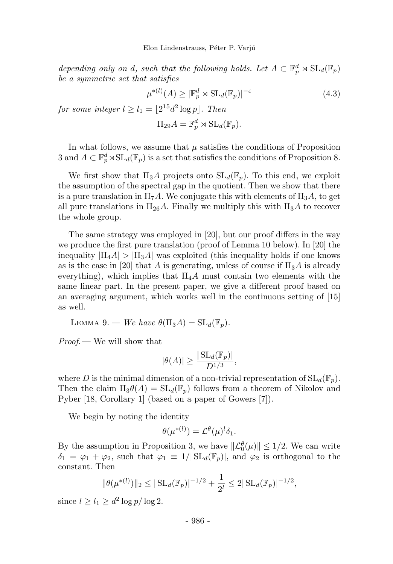depending only on d, such that the following holds. Let  $A \subset \mathbb{F}_p^d \rtimes SL_d(\mathbb{F}_p)$ be a symmetric set that satisfies

$$
\mu^{*(l)}(A) \ge |\mathbb{F}_p^d \rtimes \mathrm{SL}_d(\mathbb{F}_p)|^{-\varepsilon} \tag{4.3}
$$

for some integer  $l \ge l_1 = \lfloor 2^{15}d^2 \log p \rfloor$ . Then

$$
\Pi_{29}A = \mathbb{F}_p^d \rtimes \mathrm{SL}_d(\mathbb{F}_p).
$$

In what follows, we assume that  $\mu$  satisfies the conditions of Proposition 3 and  $A \subset \mathbb{F}_p^d \rtimes SL_d(\mathbb{F}_p)$  is a set that satisfies the conditions of Proposition 8.

We first show that  $\Pi_3A$  projects onto  $SL_d(\mathbb{F}_p)$ . To this end, we exploit the assumption of the spectral gap in the quotient. Then we show that there is a pure translation in  $\Pi_7A$ . We conjugate this with elements of  $\Pi_3A$ , to get all pure translations in  $\Pi_{26}A$ . Finally we multiply this with  $\Pi_{3}A$  to recover the whole group.

The same strategy was employed in [20], but our proof differs in the way we produce the first pure translation (proof of Lemma 10 below). In [20] the inequality  $|\Pi_4A| > |\Pi_3A|$  was exploited (this inequality holds if one knows as is the case in [20] that A is generating, unless of course if  $\Pi_3A$  is already everything), which implies that  $\Pi_4A$  must contain two elements with the same linear part. In the present paper, we give a different proof based on an averaging argument, which works well in the continuous setting of [15] as well.

LEMMA 9. — We have  $\theta(\Pi_3 A) = SL_{d}(\mathbb{F}_n)$ .

Proof.— We will show that

$$
|\theta(A)| \ge \frac{|\operatorname{SL}_d(\mathbb{F}_p)|}{D^{1/3}},
$$

where D is the minimal dimension of a non-trivial representation of  $SL_d(\mathbb{F}_p)$ . Then the claim  $\Pi_3 \theta(A) = SL_d(\mathbb{F}_p)$  follows from a theorem of Nikolov and Pyber [18, Corollary 1] (based on a paper of Gowers [7]).

We begin by noting the identity

$$
\theta(\mu^{*(l)}) = \mathcal{L}^{\theta}(\mu)^l \delta_1.
$$

By the assumption in Proposition 3, we have  $\|\mathcal{L}_0^{\theta}(\mu)\| \leq 1/2$ . We can write  $\delta_1 = \varphi_1 + \varphi_2$ , such that  $\varphi_1 \equiv 1/|\mathrm{SL}_d(\mathbb{F}_p)|$ , and  $\varphi_2$  is orthogonal to the constant. Then

$$
\|\theta(\mu^{*(l)})\|_2 \leq |\operatorname{SL}_d(\mathbb{F}_p)|^{-1/2} + \frac{1}{2^l} \leq 2|\operatorname{SL}_d(\mathbb{F}_p)|^{-1/2},
$$

since  $l \ge l_1 \ge d^2 \log p / \log 2$ .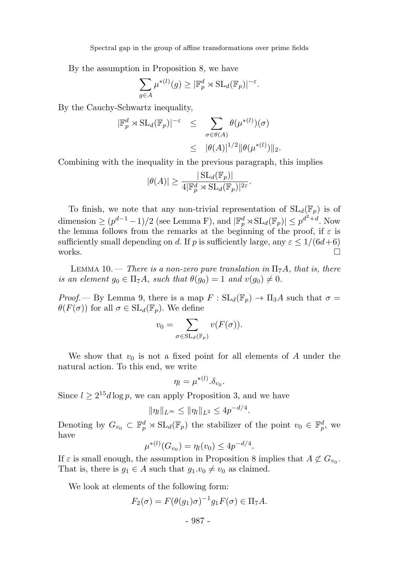By the assumption in Proposition 8, we have

$$
\sum_{g \in A} \mu^{*(l)}(g) \geq |\mathbb{F}_p^d \rtimes \mathrm{SL}_d(\mathbb{F}_p)|^{-\varepsilon}.
$$

By the Cauchy-Schwartz inequality,

$$
|\mathbb{F}_p^d \rtimes SL_d(\mathbb{F}_p)|^{-\varepsilon} \leq \sum_{\sigma \in \theta(A)} \theta(\mu^{*(l)})(\sigma)
$$
  

$$
\leq |\theta(A)|^{1/2} ||\theta(\mu^{*(l)})||_2.
$$

Combining with the inequality in the previous paragraph, this implies

$$
|\theta(A)| \ge \frac{|\operatorname{SL}_d(\mathbb{F}_p)|}{4|\mathbb{F}_p^d \rtimes \operatorname{SL}_d(\mathbb{F}_p)|^{2\varepsilon}}.
$$

To finish, we note that any non-trivial representation of  $SL_d(\mathbb{F}_p)$  is of dimension  $\geq (p^{d-1}-1)/2$  (see Lemma F), and  $|\mathbb{F}_p^d \rtimes SL_d(\mathbb{F}_p)| \leq p^{d^2+d}$ . Now the lemma follows from the remarks at the beginning of the proof, if  $\varepsilon$  is sufficiently small depending on d. If p is sufficiently large, any  $\varepsilon \le 1/(6d+6)$ <br>works. works.

LEMMA 10. – There is a non-zero pure translation in  $\Pi_7A$ , that is, there is an element  $g_0 \in \Pi_7 A$ , such that  $\theta(g_0) = 1$  and  $v(g_0) \neq 0$ .

*Proof.*— By Lemma 9, there is a map  $F : SL_d(\mathbb{F}_p) \to \Pi_3 A$  such that  $\sigma =$  $\theta(F(\sigma))$  for all  $\sigma \in SL_d(\mathbb{F}_p)$ . We define

$$
v_0 = \sum_{\sigma \in \mathrm{SL}_d(\mathbb{F}_p)} v(F(\sigma)).
$$

We show that  $v_0$  is not a fixed point for all elements of A under the natural action. To this end, we write

$$
\eta_l = \mu^{*(l)}.\delta_{v_0}.
$$

Since  $l \geq 2^{15}d \log p$ , we can apply Proposition 3, and we have

$$
\|\eta_l\|_{L^{\infty}} \le \|\eta_l\|_{L^2} \le 4p^{-d/4}.
$$

Denoting by  $G_{v_0} \subset \mathbb{F}_p^d \rtimes SL_d(\mathbb{F}_p)$  the stabilizer of the point  $v_0 \in \mathbb{F}_p^d$ , we have

$$
\mu^{*(l)}(G_{v_0}) = \eta_l(v_0) \le 4p^{-d/4}.
$$

If  $\varepsilon$  is small enough, the assumption in Proposition 8 implies that  $A \not\subset G_{v_0}$ . That is, there is  $g_1 \in A$  such that  $g_1 \cdot v_0 \neq v_0$  as claimed.

We look at elements of the following form:

$$
F_2(\sigma) = F(\theta(g_1)\sigma)^{-1}g_1F(\sigma) \in \Pi_7A.
$$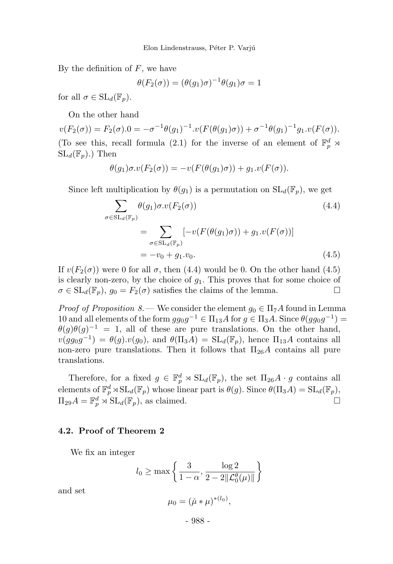By the definition of  $F$ , we have

$$
\theta(F_2(\sigma)) = (\theta(g_1)\sigma)^{-1}\theta(g_1)\sigma = 1
$$

for all  $\sigma \in SL_d(\mathbb{F}_n)$ .

On the other hand

 $v(F_2(\sigma)) = F_2(\sigma) \cdot 0 = -\sigma^{-1} \theta(g_1)^{-1} \cdot v(F(\theta(g_1)\sigma)) + \sigma^{-1} \theta(g_1)^{-1} g_1 \cdot v(F(\sigma)).$ (To see this, recall formula (2.1) for the inverse of an element of  $\mathbb{F}_p^d$   $\rtimes$  $SL_d(\mathbb{F}_p)$ .) Then

$$
\theta(g_1)\sigma.v(F_2(\sigma))=-v(F(\theta(g_1)\sigma))+g_1.v(F(\sigma)).
$$

Since left multiplication by  $\theta(g_1)$  is a permutation on  $SL_d(\mathbb{F}_p)$ , we get

$$
\sum_{\sigma \in SL_d(\mathbb{F}_p)} \theta(g_1)\sigma.v(F_2(\sigma))
$$
\n
$$
= \sum_{\sigma \in SL_d(\mathbb{F}_p)} [-v(F(\theta(g_1)\sigma)) + g_1.v(F(\sigma))]
$$
\n
$$
= -v_0 + g_1.v_0.
$$
\n(4.5)

If  $v(F_2(\sigma))$  were 0 for all  $\sigma$ , then (4.4) would be 0. On the other hand (4.5) is clearly non-zero, by the choice of  $g_1$ . This proves that for some choice of  $\sigma \in SL_d(\mathbb{F}_p)$ ,  $g_0 = F_2(\sigma)$  satisfies the claims of the lemma.

*Proof of Proposition 8.*— We consider the element  $g_0 \in \Pi_7 A$  found in Lemma 10 and all elements of the form  $gg_0g^{-1} \in \Pi_{13}A$  for  $g \in \Pi_3A$ . Since  $\theta(gg_0g^{-1}) =$  $\theta(g)\theta(g)^{-1} = 1$ , all of these are pure translations. On the other hand,  $v(gg_0g^{-1}) = \theta(g).v(g_0)$ , and  $\theta(\Pi_3A) = SL_d(\mathbb{F}_p)$ , hence  $\Pi_{13}A$  contains all non-zero pure translations. Then it follows that  $\Pi_{26}A$  contains all pure translations.

Therefore, for a fixed  $g \in \mathbb{F}_p^d \rtimes SL_d(\mathbb{F}_p)$ , the set  $\Pi_{26}A \cdot g$  contains all elements of  $\mathbb{F}_p^d \rtimes SL_d(\mathbb{F}_p)$  whose linear part is  $\theta(g)$ . Since  $\theta(\Pi_3 A) = SL_d(\mathbb{F}_p)$ ,  $\Pi_{29}A = \mathbb{F}_p^d \rtimes \mathrm{SL}_d(\mathbb{F}_p)$ , as claimed.

#### 4.2. Proof of Theorem 2

We fix an integer

$$
l_0 \geq \max\left\{\frac{3}{1-\alpha}, \frac{\log 2}{2-2\|\mathcal{L}_0^\theta(\mu)\|}\right\}
$$

and set

$$
\mu_0 = (\check{\mu} * \mu)^{* (l_0)},
$$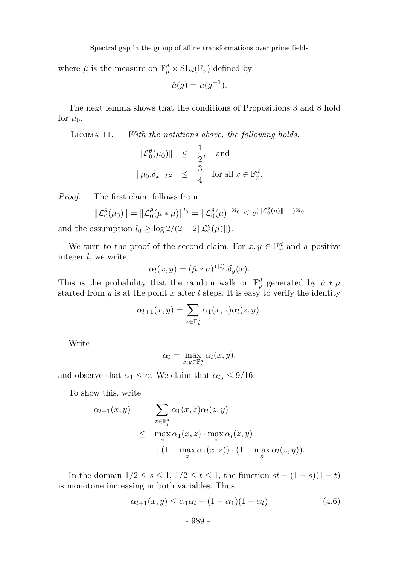where  $\check{\mu}$  is the measure on  $\mathbb{F}_p^d \rtimes SL_d(\mathbb{F}_p)$  defined by

$$
\check{\mu}(g) = \mu(g^{-1}).
$$

The next lemma shows that the conditions of Propositions 3 and 8 hold for  $\mu_0$ .

LEMMA  $11.$  – With the notations above, the following holds:

$$
\begin{array}{rcl}\|\mathcal{L}_0^{\theta}(\mu_0)\|&\leq&\frac{1}{2},&\text{and}\\\|\mu_0.\delta_x\|_{L^2}&\leq&\frac{3}{4}&\text{for all }x\in\mathbb{F}_p^d.\end{array}
$$

Proof.— The first claim follows from

$$
\|\mathcal{L}_0^{\theta}(\mu_0)\| = \|\mathcal{L}_0^{\theta}(\check{\mu} * \mu)\|^{l_0} = \|\mathcal{L}_0^{\theta}(\mu)\|^{2l_0} \le e^{(\|\mathcal{L}_0^{\theta}(\mu)\| - 1)2l_0}
$$

and the assumption  $l_0 \ge \log 2/(2 - 2||\mathcal{L}_0^{\theta}(\mu)||)$ .

We turn to the proof of the second claim. For  $x, y \in \mathbb{F}_p^d$  and a positive integer l, we write

$$
\alpha_l(x, y) = (\check{\mu} * \mu)^{* (l)}.\delta_y(x).
$$

This is the probability that the random walk on  $\mathbb{F}_p^d$  generated by  $\mu * \mu$ started from y is at the point x after  $l$  steps. It is easy to verify the identity

$$
\alpha_{l+1}(x,y) = \sum_{z \in \mathbb{F}_p^d} \alpha_1(x,z) \alpha_l(z,y).
$$

Write

$$
\alpha_l = \max_{x,y \in \mathbb{F}_p^d} \alpha_l(x,y),
$$

and observe that  $\alpha_1 \leq \alpha$ . We claim that  $\alpha_{l_0} \leq 9/16$ .

To show this, write

$$
\alpha_{l+1}(x,y) = \sum_{z \in \mathbb{F}_p^d} \alpha_1(x,z) \alpha_l(z,y)
$$
  
\$\leq\$ 
$$
\max_{z} \alpha_1(x,z) \cdot \max_{z} \alpha_l(z,y)
$$
  

$$
+ (1 - \max_{z} \alpha_1(x,z)) \cdot (1 - \max_{z} \alpha_l(z,y)).
$$

In the domain  $1/2 \le s \le 1$ ,  $1/2 \le t \le 1$ , the function  $st - (1 - s)(1 - t)$ is monotone increasing in both variables. Thus

$$
\alpha_{l+1}(x,y) \leq \alpha_1 \alpha_l + (1 - \alpha_1)(1 - \alpha_l) \tag{4.6}
$$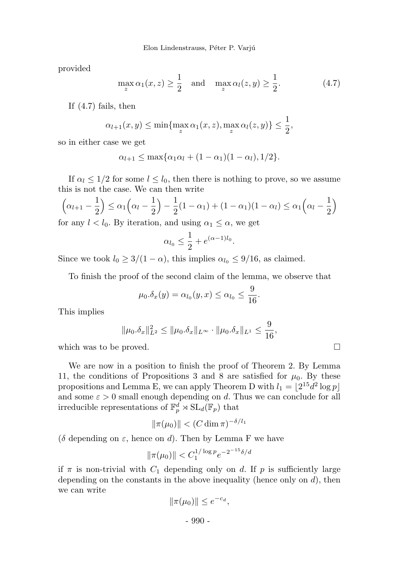provided

$$
\max_{z} \alpha_1(x, z) \ge \frac{1}{2} \quad \text{and} \quad \max_{z} \alpha_l(z, y) \ge \frac{1}{2}.
$$
 (4.7)

If (4.7) fails, then

$$
\alpha_{l+1}(x,y) \le \min\{\max_{z} \alpha_1(x,z), \max_{z} \alpha_l(z,y)\} \le \frac{1}{2},
$$

so in either case we get

$$
\alpha_{l+1} \leq \max\{\alpha_1\alpha_l + (1-\alpha_1)(1-\alpha_l), 1/2\}.
$$

If  $\alpha_l \leq 1/2$  for some  $l \leq l_0$ , then there is nothing to prove, so we assume this is not the case. We can then write

$$
\left(\alpha_{l+1} - \frac{1}{2}\right) \leq \alpha_1 \left(\alpha_l - \frac{1}{2}\right) - \frac{1}{2}(1 - \alpha_1) + (1 - \alpha_1)(1 - \alpha_l) \leq \alpha_1 \left(\alpha_l - \frac{1}{2}\right)
$$
  
for any  $l < l_0$ . By iteration, and using  $\alpha_1 \leq \alpha$ , we get

$$
\alpha_{l_0} \le \frac{1}{2} + e^{(\alpha - 1)l_0}.
$$

Since we took  $l_0 \geq 3/(1-\alpha)$ , this implies  $\alpha_{l_0} \leq 9/16$ , as claimed.

To finish the proof of the second claim of the lemma, we observe that

$$
\mu_0.\delta_x(y) = \alpha_{l_0}(y,x) \le \alpha_{l_0} \le \frac{9}{16}.
$$

This implies

$$
\|\mu_0.\delta_x\|_{L^2}^2 \le \|\mu_0.\delta_x\|_{L^\infty} \cdot \|\mu_0.\delta_x\|_{L^1} \le \frac{9}{16},
$$

which was to be proved.

We are now in a position to finish the proof of Theorem 2. By Lemma 11, the conditions of Propositions 3 and 8 are satisfied for  $\mu_0$ . By these propositions and Lemma E, we can apply Theorem D with  $l_1 = \lfloor 2^{15} d^2 \log p \rfloor$ and some  $\varepsilon > 0$  small enough depending on d. Thus we can conclude for all irreducible representations of  $\mathbb{F}_p^d \rtimes SL_d(\mathbb{F}_p)$  that

$$
\|\pi(\mu_0)\| < (C\dim \pi)^{-\delta/l_1}
$$

( $\delta$  depending on  $\varepsilon$ , hence on  $d$ ). Then by Lemma F we have

$$
\|\pi(\mu_0)\| < C_1^{1/\log p} e^{-2^{-15}\delta/d}
$$

if  $\pi$  is non-trivial with  $C_1$  depending only on d. If p is sufficiently large depending on the constants in the above inequality (hence only on  $d$ ), then we can write

$$
\|\pi(\mu_0)\| \le e^{-c_d},
$$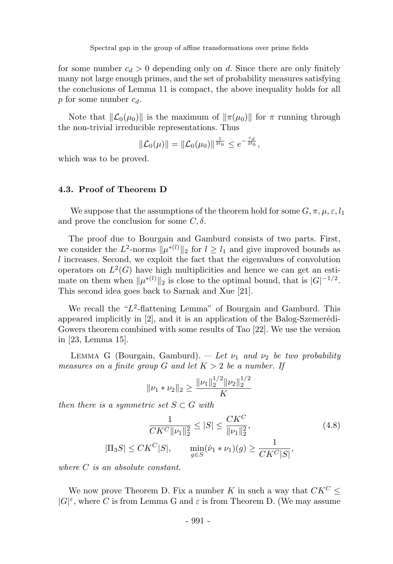for some number  $c_d > 0$  depending only on d. Since there are only finitely many not large enough primes, and the set of probability measures satisfying the conclusions of Lemma 11 is compact, the above inequality holds for all p for some number  $c_d$ .

Note that  $\|\mathcal{L}_0(\mu_0)\|$  is the maximum of  $\|\pi(\mu_0)\|$  for  $\pi$  running through the non-trivial irreducible representations. Thus

$$
\|\mathcal{L}_0(\mu)\| = \|\mathcal{L}_0(\mu_0)\|^{\frac{1}{2l_0}} \leq e^{-\frac{c_d}{2l_0}},
$$

which was to be proved.

#### 4.3. Proof of Theorem D

We suppose that the assumptions of the theorem hold for some  $G, \pi, \mu, \varepsilon, l_1$ and prove the conclusion for some  $C, \delta$ .

The proof due to Bourgain and Gamburd consists of two parts. First, we consider the  $L^2$ -norms  $\|\mu^{*(l)}\|_2$  for  $l \geq l_1$  and give improved bounds as l increases. Second, we exploit the fact that the eigenvalues of convolution operators on  $L^2(G)$  have high multiplicities and hence we can get an estimate on them when  $\|\mu^{*(l)}\|_2$  is close to the optimal bound, that is  $|G|^{-1/2}$ . This second idea goes back to Sarnak and Xue [21].

We recall the "L<sup>2</sup>-flattening Lemma" of Bourgain and Gamburd. This appeared implicitly in  $[2]$ , and it is an application of the Balog-Szemerédi-Gowers theorem combined with some results of Tao [22]. We use the version in [23, Lemma 15].

LEMMA G (Bourgain, Gamburd). — Let  $\nu_1$  and  $\nu_2$  be two probability measures on a finite group G and let  $K > 2$  be a number. If

$$
\|\nu_1 * \nu_2\|_2 \ge \frac{\|\nu_1\|_2^{1/2} \|\nu_2\|_2^{1/2}}{K}
$$

then there is a symmetric set  $S \subset G$  with

$$
\frac{1}{CK^C \|\nu_1\|_2^2} \le |S| \le \frac{CK^C}{\|\nu_1\|_2^2},
$$
\n
$$
|\Pi_3 S| \le CK^C |S|, \qquad \min_{g \in S} (\nu_1 * \nu_1)(g) \ge \frac{1}{CK^C |S|},
$$
\n(4.8)

where C is an absolute constant.

We now prove Theorem D. Fix a number K in such a way that  $CK^C$  <  $|G|^\varepsilon,$  where  $C$  is from Lemma G and  $\varepsilon$  is from Theorem D. (We may assume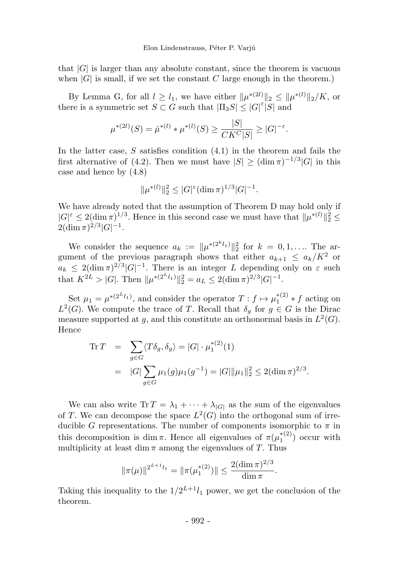that  $|G|$  is larger than any absolute constant, since the theorem is vacuous when  $|G|$  is small, if we set the constant C large enough in the theorem.)

By Lemma G, for all  $l \geq l_1$ , we have either  $\|\mu^{*(2l)}\|_2 \leq \|\mu^{*(l)}\|_2/K$ , or there is a symmetric set  $S \subset G$  such that  $|\Pi_3 S| \leq |G|^\varepsilon |S|$  and

$$
\mu^{*(2l)}(S) = \check{\mu}^{*(l)} * \mu^{*(l)}(S) \ge \frac{|S|}{CK^C|S|} \ge |G|^{-\varepsilon}.
$$

In the latter case,  $S$  satisfies condition  $(4.1)$  in the theorem and fails the first alternative of (4.2). Then we must have  $|S| \geq (\dim \pi)^{-1/3} |G|$  in this case and hence by (4.8)

$$
\|\mu^{*(l)}\|_2^2 \leq |G|^{\varepsilon} (\dim \pi)^{1/3} |G|^{-1}.
$$

We have already noted that the assumption of Theorem D may hold only if  $|G|^\varepsilon \leq 2(\dim \pi)^{1/3}$ . Hence in this second case we must have that  $\|\mu^{*(l)}\|_2^2 \leq$  $2(\dim \pi)^{2/3}|G|^{-1}.$ 

We consider the sequence  $a_k := ||\mu^{*(2^k l_1)}||_2^2$  for  $k = 0, 1, \ldots$  The argument of the previous paragraph shows that either  $a_{k+1} \leq a_k/K^2$  or  $a_k \leq 2(\dim \pi)^{2/3}|G|^{-1}$ . There is an integer L depending only on  $\varepsilon$  such that  $K^{2L} > |G|$ . Then  $\|\mu^{*(2^L l_1)}\|_2^2 = a_L \leq 2(\dim \pi)^{2/3}|G|^{-1}$ .

Set  $\mu_1 = \mu^{*(2^L l_1)}$ , and consider the operator  $T: f \mapsto \mu_1^{*(2)} * f$  acting on  $L^2(G)$ . We compute the trace of T. Recall that  $\delta_g$  for  $g \in G$  is the Dirac measure supported at g, and this constitute an orthonormal basis in  $L^2(G)$ . Hence

Tr 
$$
T = \sum_{g \in G} \langle T \delta_g, \delta_g \rangle = |G| \cdot \mu_1^{*(2)}(1)
$$
  
\n $= |G| \sum_{g \in G} \mu_1(g) \mu_1(g^{-1}) = |G| ||\mu_1||_2^2 \le 2(\dim \pi)^{2/3}.$ 

We can also write  $\text{Tr } T = \lambda_1 + \cdots + \lambda_{|G|}$  as the sum of the eigenvalues of T. We can decompose the space  $L^2(G)$  into the orthogonal sum of irreducible G representations. The number of components isomorphic to  $\pi$  in this decomposition is dim  $\pi$ . Hence all eigenvalues of  $\pi(\mu_1^{*(2)})$  occur with multiplicity at least dim  $\pi$  among the eigenvalues of T. Thus

$$
\|\pi(\mu)\|^{2^{L+1}l_1}=\|\pi(\mu_1^{*(2)})\|\leq \frac{2(\dim \pi)^{2/3}}{\dim \pi}.
$$

 $2/3$ 

Taking this inequality to the  $1/2^{L+1}l_1$  power, we get the conclusion of the theorem.